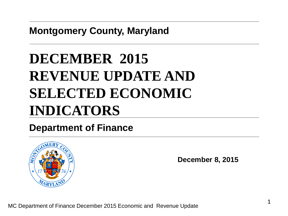**Montgomery County, Maryland**

# **DECEMBER 2015 REVENUE UPDATE AND SELECTED ECONOMIC INDICATORS**

#### **Department of Finance**



**December 8, 2015**

MC Department of Finance December 2015 Economic and Revenue Update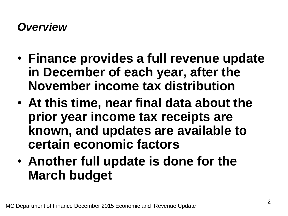#### *Overview*

- **Finance provides a full revenue update in December of each year, after the November income tax distribution**
- **At this time, near final data about the prior year income tax receipts are known, and updates are available to certain economic factors**
- **Another full update is done for the March budget**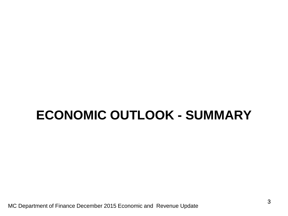## **ECONOMIC OUTLOOK - SUMMARY**

MC Department of Finance December 2015 Economic and Revenue Update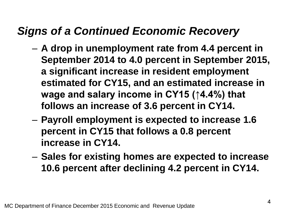#### *Signs of a Continued Economic Recovery*

- **A drop in unemployment rate from 4.4 percent in September 2014 to 4.0 percent in September 2015, a significant increase in resident employment estimated for CY15, and an estimated increase in wage and salary income in CY15 (↑4.4%) that follows an increase of 3.6 percent in CY14.**
- **Payroll employment is expected to increase 1.6 percent in CY15 that follows a 0.8 percent increase in CY14.**
- **Sales for existing homes are expected to increase 10.6 percent after declining 4.2 percent in CY14.**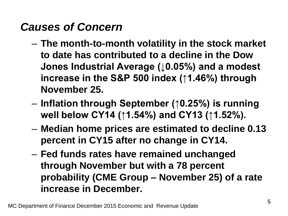### *Causes of Concern*

- **The month-to-month volatility in the stock market to date has contributed to a decline in the Dow Jones Industrial Average (↓0.05%) and a modest increase in the S&P 500 index (↑1.46%) through November 25.**
- **Inflation through September (↑0.25%) is running well below CY14 (↑1.54%) and CY13 (↑1.52%).**
- **Median home prices are estimated to decline 0.13 percent in CY15 after no change in CY14.**
- **Fed funds rates have remained unchanged through November but with a 78 percent probability (CME Group – November 25) of a rate increase in December.**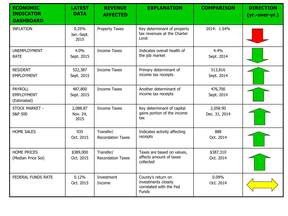| <b>ECONOMIC</b><br><b>INDICATOR</b><br><b>DASHBOARD</b> | <b>LATEST</b><br><b>DATA</b> | <b>REVENUE</b><br><b>AFFECTED</b>     | <b>EXPLANATION</b>                                                                   | <b>COMPARISON</b>         | <b>DIRECTION</b><br>(yr.-over-yr.) |
|---------------------------------------------------------|------------------------------|---------------------------------------|--------------------------------------------------------------------------------------|---------------------------|------------------------------------|
| <b>INFLATION</b>                                        | 0.25%<br>Jan.-Sept.<br>2015  | <b>Property Taxes</b>                 | Key determinant of property<br>tax revenues at the Charter<br>Limit                  | 2014: 1.54%               |                                    |
| <b>UNEMPLOYMENT</b><br><b>RATE</b>                      | 4.0%<br>Sept. 2015           | <b>Income Taxes</b>                   | Indicates overall health of<br>the job market                                        | 4.4%<br>Sept. 2014        |                                    |
| <b>RESIDENT</b><br><b>EMPLOYMENT</b>                    | 522,387<br>Sept. 2015        | <b>Income Taxes</b>                   | Primary determinant of<br>income tax receipts                                        | 513,816<br>Sept. 2014     |                                    |
| <b>PAYROLL</b><br><b>EMPLOYMENT</b><br>(Estimated)      | 487,800<br>Sept. 2015        | <b>Income Taxes</b>                   | Another determinant of<br>income tax receipts                                        | 476,700<br>Sept. 2014     |                                    |
| STOCK MARKET -<br><b>S&amp;P 500</b>                    | 2,088.87<br>Nov. 24,<br>2015 | <b>Income Taxes</b>                   | Key determinant of capital<br>gains portion of the income<br>tax                     | 2,058.90<br>Dec. 31, 2014 |                                    |
| <b>HOME SALES</b>                                       | 935<br>Oct. 2015             | Transfer/<br><b>Recordation Taxes</b> | Indicates activity affecting<br>receipts                                             | 888<br>Oct. 2014          |                                    |
| <b>HOME PRICES</b><br>(Median Price Sol)                | \$389,000<br>Oct. 2015       | Transfer/<br><b>Recordation Taxes</b> | Taxes are based on values,<br>affects amount of taxes<br>collected                   | \$387,310<br>Oct. 2014    |                                    |
| FEDERAL FUNDS RATE                                      | 0.12%<br>Oct. 2015           | Investment<br>Income                  | County's return on<br>investments closely<br>correlated with the Fed<br><b>Funds</b> | 0.09%<br>Oct. 2014        |                                    |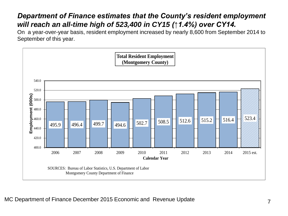#### *Department of Finance estimates that the County's resident employment will reach an all-time high of 523,400 in CY15 (↑1.4%) over CY14.*

On a year-over-year basis, resident employment increased by nearly 8,600 from September 2014 to September of this year.

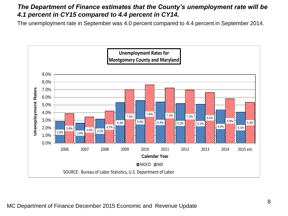#### *The Department of Finance estimates that the County's unemployment rate will be 4.1 percent in CY15 compared to 4.4 percent in CY14.*

The unemployment rate in September was 4.0 percent compared to 4.4 percent in September 2014.

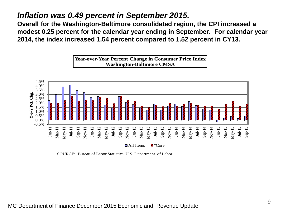#### *Inflation was 0.49 percent in September 2015.*

**Overall for the Washington-Baltimore consolidated region, the CPI increased a modest 0.25 percent for the calendar year ending in September. For calendar year 2014, the index increased 1.54 percent compared to 1.52 percent in CY13.**

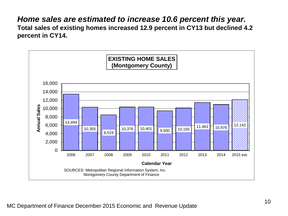#### *Home sales are estimated to increase 10.6 percent this year.* **Total sales of existing homes increased 12.9 percent in CY13 but declined 4.2 percent in CY14.**

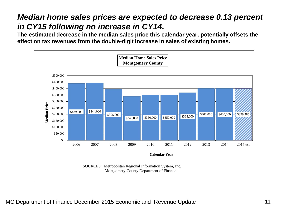#### *Median home sales prices are expected to decrease 0.13 percent in CY15 following no increase in CY14.*

**The estimated decrease in the median sales price this calendar year, potentially offsets the effect on tax revenues from the double-digit increase in sales of existing homes.**

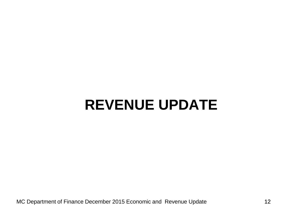## **REVENUE UPDATE**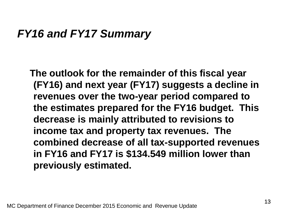#### *FY16 and FY17 Summary*

**The outlook for the remainder of this fiscal year (FY16) and next year (FY17) suggests a decline in revenues over the two-year period compared to the estimates prepared for the FY16 budget. This decrease is mainly attributed to revisions to income tax and property tax revenues. The combined decrease of all tax-supported revenues in FY16 and FY17 is \$134.549 million lower than previously estimated.**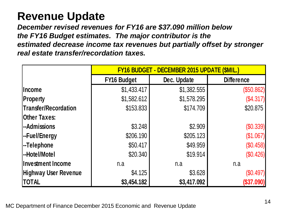### **Revenue Update**

*December revised revenues for FY16 are \$37.090 million below the FY16 Budget estimates. The major contributor is the estimated decrease income tax revenues but partially offset by stronger real estate transfer/recordation taxes.*

|                             | <b>FY16 BUDGET - DECEMBER 2015 UPDATE (\$MIL.)</b> |             |                   |  |  |
|-----------------------------|----------------------------------------------------|-------------|-------------------|--|--|
|                             | <b>FY16 Budget</b>                                 | Dec. Update | <b>Difference</b> |  |  |
| <b>Income</b>               | \$1,433.417                                        | \$1,382.555 | (\$50.862)        |  |  |
| <b>Property</b>             | \$1,582.612                                        | \$1,578.295 | (\$4.317)         |  |  |
| Transfer/Recordation        | \$153.833                                          | \$174.709   | \$20.875          |  |  |
| <b>Other Taxes:</b>         |                                                    |             |                   |  |  |
| --Admissions                | \$3.248                                            | \$2.909     | (\$0.339)         |  |  |
| -Fuel/Energy                | \$206.190                                          | \$205.123   | (\$1.067)         |  |  |
| -Telephone                  | \$50.417                                           | \$49.959    | (\$0.458)         |  |  |
| --Hotel/Motel               | \$20.340                                           | \$19.914    | (\$0.426)         |  |  |
| Investment Income           | n.a                                                | n.a         | n.a               |  |  |
| <b>Highway User Revenue</b> | \$4.125                                            | \$3.628     | $(\$0.497)$       |  |  |
| <b>TOTAL</b>                | \$3,454.182                                        | \$3,417.092 | (\$37.090)        |  |  |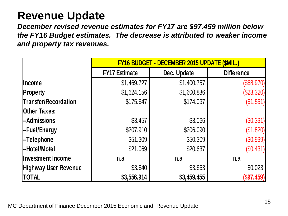#### **Revenue Update**

*December revised revenue estimates for FY17 are \$97.459 million below the FY16 Budget estimates. The decrease is attributed to weaker income and property tax revenues.*

|                             | FY16 BUDGET - DECEMBER 2015 UPDATE (\$MIL.) |             |                   |  |  |
|-----------------------------|---------------------------------------------|-------------|-------------------|--|--|
|                             | <b>FY17 Estimate</b>                        | Dec. Update | <b>Difference</b> |  |  |
| <b>Income</b>               | \$1,469.727                                 | \$1,400.757 | (\$68.970)        |  |  |
| <b>Property</b>             | \$1,624.156                                 | \$1,600.836 | (\$23.320)        |  |  |
| Transfer/Recordation        | \$175.647                                   | \$174.097   | (\$1.551)         |  |  |
| Other Taxes:                |                                             |             |                   |  |  |
| -Admissions                 | \$3.457                                     | \$3.066     | (\$0.391)         |  |  |
| -Fuel/Energy                | \$207.910                                   | \$206.090   | (\$1.820)         |  |  |
| -Telephone                  | \$51.309                                    | \$50.309    | (\$0.999)         |  |  |
| -Hotel/Motel                | \$21.069                                    | \$20.637    | (\$0.431)         |  |  |
| <b>Investment Income</b>    | n.a                                         | n.a         | n.a               |  |  |
| <b>Highway User Revenue</b> | \$3.640                                     | \$3.663     | \$0.023           |  |  |
| <b>TOTAL</b>                | \$3,556.914                                 | \$3,459.455 | (\$97.459)        |  |  |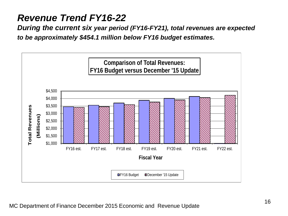#### *Revenue Trend FY16-22*

*During the current six year period (FY16-FY21), total revenues are expected to be approximately \$454.1 million below FY16 budget estimates.*

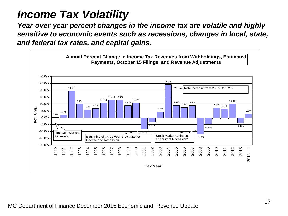#### *Income Tax Volatility*

*Year-over-year percent changes in the income tax are volatile and highly sensitive to economic events such as recessions, changes in local, state, and federal tax rates, and capital gains.*

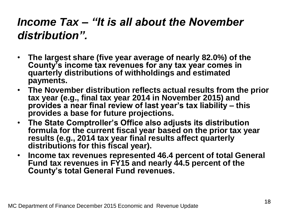### *Income Tax – "It is all about the November distribution".*

- **The largest share (five year average of nearly 82.0%) of the County's income tax revenues for any tax year comes in quarterly distributions of withholdings and estimated payments.**
- **The November distribution reflects actual results from the prior tax year (e.g., final tax year 2014 in November 2015) and provides a near final review of last year's tax liability – this provides a base for future projections.**
- **The State Comptroller's Office also adjusts its distribution formula for the current fiscal year based on the prior tax year results (e.g., 2014 tax year final results affect quarterly distributions for this fiscal year).**
- **Income tax revenues represented 46.4 percent of total General Fund tax revenues in FY15 and nearly 44.5 percent of the County's total General Fund revenues.**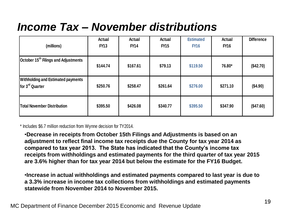### *Income Tax – November distributions*

| (millions)                                                                                                                                                                                                                                                                                                                                                                                                                                                                                                                                                                                                                                                                                                                                           | <b>Actual</b><br><b>FY13</b> | Actual<br><b>FY14</b> | <b>Actual</b><br><b>FY15</b> | <b>Estimated</b><br><b>FY16</b> | <b>Actual</b><br><b>FY16</b> | <b>Difference</b> |  |
|------------------------------------------------------------------------------------------------------------------------------------------------------------------------------------------------------------------------------------------------------------------------------------------------------------------------------------------------------------------------------------------------------------------------------------------------------------------------------------------------------------------------------------------------------------------------------------------------------------------------------------------------------------------------------------------------------------------------------------------------------|------------------------------|-----------------------|------------------------------|---------------------------------|------------------------------|-------------------|--|
| October 15 <sup>th</sup> Filings and Adjustments                                                                                                                                                                                                                                                                                                                                                                                                                                                                                                                                                                                                                                                                                                     | \$144.74                     | \$167.61              | \$79.13                      | \$119.50                        | 76.80*                       | (\$42.70)         |  |
| <b>Withholding and Estimated payments</b><br>for 3 <sup>rd</sup> Quarter                                                                                                                                                                                                                                                                                                                                                                                                                                                                                                                                                                                                                                                                             | \$250.76                     | \$258.47              | \$261.64                     | \$276.00                        | \$271.10                     | (\$4.90)          |  |
| <b>Total November Distribution</b>                                                                                                                                                                                                                                                                                                                                                                                                                                                                                                                                                                                                                                                                                                                   | \$395.50                     | \$426.08              | \$340.77                     | \$395.50                        | \$347.90                     | (\$47.60)         |  |
| * Includes \$6.7 million reduction from Wynne decision for TY2014.<br>•Decrease in receipts from October 15th Filings and Adjustments is based on an<br>adjustment to reflect final income tax receipts due the County for tax year 2014 as<br>compared to tax year 2013. The State has indicated that the County's income tax<br>receipts from withholdings and estimated payments for the third quarter of tax year 2015<br>are 3.6% higher than for tax year 2014 but below the estimate for the FY16 Budget.<br>. Increase in actual withholdings and estimated payments compared to last year is due to<br>a 3.3% increase in income tax collections from withholdings and estimated payments<br>statewide from November 2014 to November 2015. |                              |                       |                              |                                 |                              |                   |  |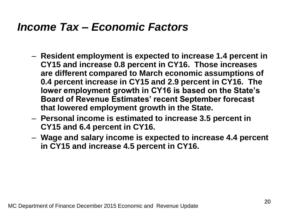#### *Income Tax – Economic Factors*

- **Resident employment is expected to increase 1.4 percent in CY15 and increase 0.8 percent in CY16. Those increases are different compared to March economic assumptions of 0.4 percent increase in CY15 and 2.9 percent in CY16. The lower employment growth in CY16 is based on the State's Board of Revenue Estimates' recent September forecast that lowered employment growth in the State.**
- **Personal income is estimated to increase 3.5 percent in CY15 and 6.4 percent in CY16.**
- **Wage and salary income is expected to increase 4.4 percent in CY15 and increase 4.5 percent in CY16.**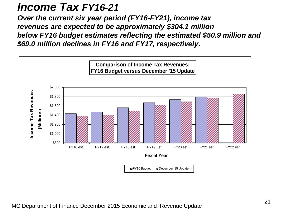#### *Income Tax FY16-21*

*Over the current six year period (FY16-FY21), income tax revenues are expected to be approximately \$304.1 million below FY16 budget estimates reflecting the estimated \$50.9 million and \$69.0 million declines in FY16 and FY17, respectively.* 

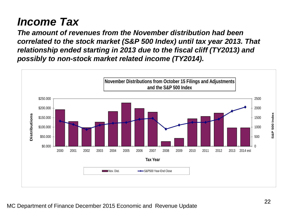### *Income Tax*

*The amount of revenues from the November distribution had been correlated to the stock market (S&P 500 Index) until tax year 2013. That relationship ended starting in 2013 due to the fiscal cliff (TY2013) and possibly to non-stock market related income (TY2014).*

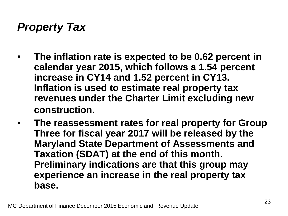### *Property Tax*

- **The inflation rate is expected to be 0.62 percent in calendar year 2015, which follows a 1.54 percent increase in CY14 and 1.52 percent in CY13. Inflation is used to estimate real property tax revenues under the Charter Limit excluding new construction.**
- **The reassessment rates for real property for Group Three for fiscal year 2017 will be released by the Maryland State Department of Assessments and Taxation (SDAT) at the end of this month. Preliminary indications are that this group may experience an increase in the real property tax base.**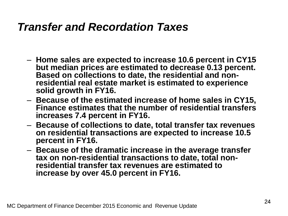#### *Transfer and Recordation Taxes*

- **Home sales are expected to increase 10.6 percent in CY15 but median prices are estimated to decrease 0.13 percent. Based on collections to date, the residential and nonresidential real estate market is estimated to experience solid growth in FY16.**
- **Because of the estimated increase of home sales in CY15, Finance estimates that the number of residential transfers increases 7.4 percent in FY16.**
- **Because of collections to date, total transfer tax revenues on residential transactions are expected to increase 10.5 percent in FY16.**
- **Because of the dramatic increase in the average transfer tax on non-residential transactions to date, total nonresidential transfer tax revenues are estimated to increase by over 45.0 percent in FY16.**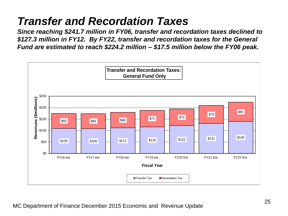### *Transfer and Recordation Taxes*

*Since reaching \$241.7 million in FY06, transfer and recordation taxes declined to \$127.3 million in FY12. By FY22, transfer and recordation taxes for the General Fund are estimated to reach \$224.2 million – \$17.5 million below the FY06 peak.*